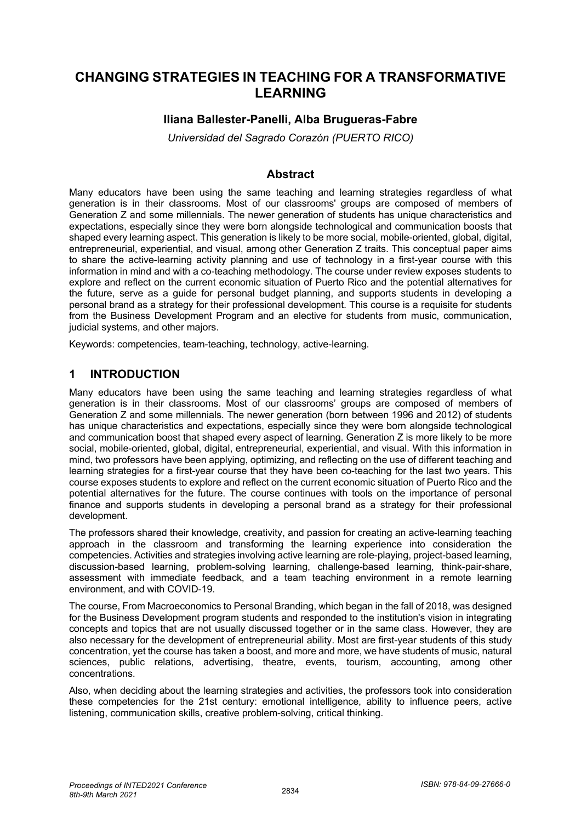# **CHANGING STRATEGIES IN TEACHING FOR A TRANSFORMATIVE LEARNING**

## **Iliana Ballester-Panelli, Alba Brugueras-Fabre**

*Universidad del Sagrado Corazón (PUERTO RICO)* 

#### **Abstract**

Many educators have been using the same teaching and learning strategies regardless of what generation is in their classrooms. Most of our classrooms' groups are composed of members of Generation Z and some millennials. The newer generation of students has unique characteristics and expectations, especially since they were born alongside technological and communication boosts that shaped every learning aspect. This generation is likely to be more social, mobile-oriented, global, digital, entrepreneurial, experiential, and visual, among other Generation Z traits. This conceptual paper aims to share the active-learning activity planning and use of technology in a first-year course with this information in mind and with a co-teaching methodology. The course under review exposes students to explore and reflect on the current economic situation of Puerto Rico and the potential alternatives for the future, serve as a guide for personal budget planning, and supports students in developing a personal brand as a strategy for their professional development. This course is a requisite for students from the Business Development Program and an elective for students from music, communication, judicial systems, and other majors.

Keywords: competencies, team-teaching, technology, active-learning.

## **1 INTRODUCTION**

Many educators have been using the same teaching and learning strategies regardless of what generation is in their classrooms. Most of our classrooms' groups are composed of members of Generation Z and some millennials. The newer generation (born between 1996 and 2012) of students has unique characteristics and expectations, especially since they were born alongside technological and communication boost that shaped every aspect of learning. Generation Z is more likely to be more social, mobile-oriented, global, digital, entrepreneurial, experiential, and visual. With this information in mind, two professors have been applying, optimizing, and reflecting on the use of different teaching and learning strategies for a first-year course that they have been co-teaching for the last two years. This course exposes students to explore and reflect on the current economic situation of Puerto Rico and the potential alternatives for the future. The course continues with tools on the importance of personal finance and supports students in developing a personal brand as a strategy for their professional development.

The professors shared their knowledge, creativity, and passion for creating an active-learning teaching approach in the classroom and transforming the learning experience into consideration the competencies. Activities and strategies involving active learning are role-playing, project-based learning, discussion-based learning, problem-solving learning, challenge-based learning, think-pair-share, assessment with immediate feedback, and a team teaching environment in a remote learning environment, and with COVID-19.

The course, From Macroeconomics to Personal Branding, which began in the fall of 2018, was designed for the Business Development program students and responded to the institution's vision in integrating concepts and topics that are not usually discussed together or in the same class. However, they are also necessary for the development of entrepreneurial ability. Most are first-year students of this study concentration, yet the course has taken a boost, and more and more, we have students of music, natural sciences, public relations, advertising, theatre, events, tourism, accounting, among other concentrations.

Also, when deciding about the learning strategies and activities, the professors took into consideration these competencies for the 21st century: emotional intelligence, ability to influence peers, active listening, communication skills, creative problem-solving, critical thinking.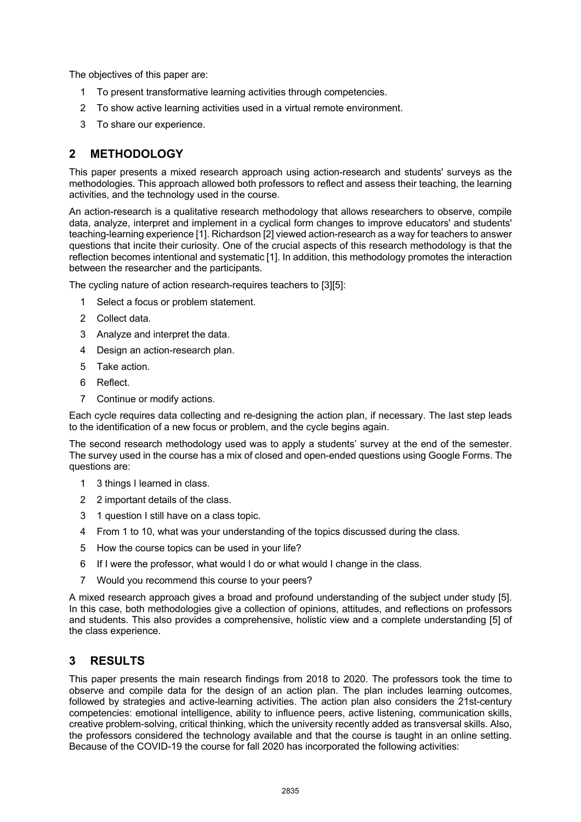The objectives of this paper are:

- 1 To present transformative learning activities through competencies.
- 2 To show active learning activities used in a virtual remote environment.
- 3 To share our experience.

## **2 METHODOLOGY**

This paper presents a mixed research approach using action-research and students' surveys as the methodologies. This approach allowed both professors to reflect and assess their teaching, the learning activities, and the technology used in the course.

An action-research is a qualitative research methodology that allows researchers to observe, compile data, analyze, interpret and implement in a cyclical form changes to improve educators' and students' teaching-learning experience [1]. Richardson [2] viewed action-research as a way for teachers to answer questions that incite their curiosity. One of the crucial aspects of this research methodology is that the reflection becomes intentional and systematic [1]. In addition, this methodology promotes the interaction between the researcher and the participants.

The cycling nature of action research-requires teachers to [3][5]:

- 1 Select a focus or problem statement.
- 2 Collect data.
- 3 Analyze and interpret the data.
- 4 Design an action-research plan.
- 5 Take action.
- 6 Reflect.
- 7 Continue or modify actions.

Each cycle requires data collecting and re-designing the action plan, if necessary. The last step leads to the identification of a new focus or problem, and the cycle begins again.

The second research methodology used was to apply a students' survey at the end of the semester. The survey used in the course has a mix of closed and open-ended questions using Google Forms. The questions are:

- 1 3 things I learned in class.
- 2 2 important details of the class.
- 3 1 question I still have on a class topic.
- 4 From 1 to 10, what was your understanding of the topics discussed during the class.
- 5 How the course topics can be used in your life?
- 6 If I were the professor, what would I do or what would I change in the class.
- 7 Would you recommend this course to your peers?

A mixed research approach gives a broad and profound understanding of the subject under study [5]. In this case, both methodologies give a collection of opinions, attitudes, and reflections on professors and students. This also provides a comprehensive, holistic view and a complete understanding [5] of the class experience.

## **3 RESULTS**

This paper presents the main research findings from 2018 to 2020. The professors took the time to observe and compile data for the design of an action plan. The plan includes learning outcomes, followed by strategies and active-learning activities. The action plan also considers the 21st-century competencies: emotional intelligence, ability to influence peers, active listening, communication skills, creative problem-solving, critical thinking, which the university recently added as transversal skills. Also, the professors considered the technology available and that the course is taught in an online setting. Because of the COVID-19 the course for fall 2020 has incorporated the following activities: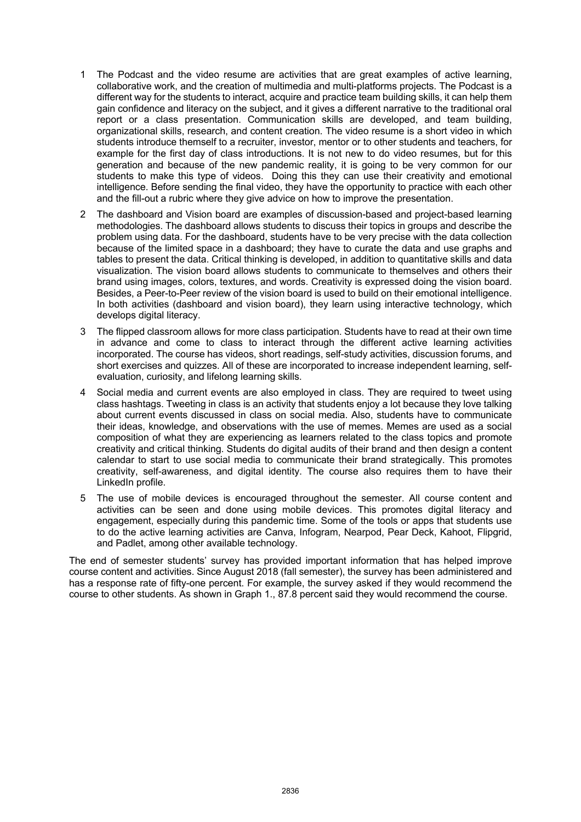- 1 The Podcast and the video resume are activities that are great examples of active learning, collaborative work, and the creation of multimedia and multi-platforms projects. The Podcast is a different way for the students to interact, acquire and practice team building skills, it can help them gain confidence and literacy on the subject, and it gives a different narrative to the traditional oral report or a class presentation. Communication skills are developed, and team building, organizational skills, research, and content creation. The video resume is a short video in which students introduce themself to a recruiter, investor, mentor or to other students and teachers, for example for the first day of class introductions. It is not new to do video resumes, but for this generation and because of the new pandemic reality, it is going to be very common for our students to make this type of videos. Doing this they can use their creativity and emotional intelligence. Before sending the final video, they have the opportunity to practice with each other and the fill-out a rubric where they give advice on how to improve the presentation.
- 2 The dashboard and Vision board are examples of discussion-based and project-based learning methodologies. The dashboard allows students to discuss their topics in groups and describe the problem using data. For the dashboard, students have to be very precise with the data collection because of the limited space in a dashboard; they have to curate the data and use graphs and tables to present the data. Critical thinking is developed, in addition to quantitative skills and data visualization. The vision board allows students to communicate to themselves and others their brand using images, colors, textures, and words. Creativity is expressed doing the vision board. Besides, a Peer-to-Peer review of the vision board is used to build on their emotional intelligence. In both activities (dashboard and vision board), they learn using interactive technology, which develops digital literacy.
- 3 The flipped classroom allows for more class participation. Students have to read at their own time in advance and come to class to interact through the different active learning activities incorporated. The course has videos, short readings, self-study activities, discussion forums, and short exercises and quizzes. All of these are incorporated to increase independent learning, selfevaluation, curiosity, and lifelong learning skills.
- 4 Social media and current events are also employed in class. They are required to tweet using class hashtags. Tweeting in class is an activity that students enjoy a lot because they love talking about current events discussed in class on social media. Also, students have to communicate their ideas, knowledge, and observations with the use of memes. Memes are used as a social composition of what they are experiencing as learners related to the class topics and promote creativity and critical thinking. Students do digital audits of their brand and then design a content calendar to start to use social media to communicate their brand strategically. This promotes creativity, self-awareness, and digital identity. The course also requires them to have their LinkedIn profile.
- 5 The use of mobile devices is encouraged throughout the semester. All course content and activities can be seen and done using mobile devices. This promotes digital literacy and engagement, especially during this pandemic time. Some of the tools or apps that students use to do the active learning activities are Canva, Infogram, Nearpod, Pear Deck, Kahoot, Flipgrid, and Padlet, among other available technology.

The end of semester students' survey has provided important information that has helped improve course content and activities. Since August 2018 (fall semester), the survey has been administered and has a response rate of fifty-one percent. For example, the survey asked if they would recommend the course to other students. As shown in Graph 1., 87.8 percent said they would recommend the course.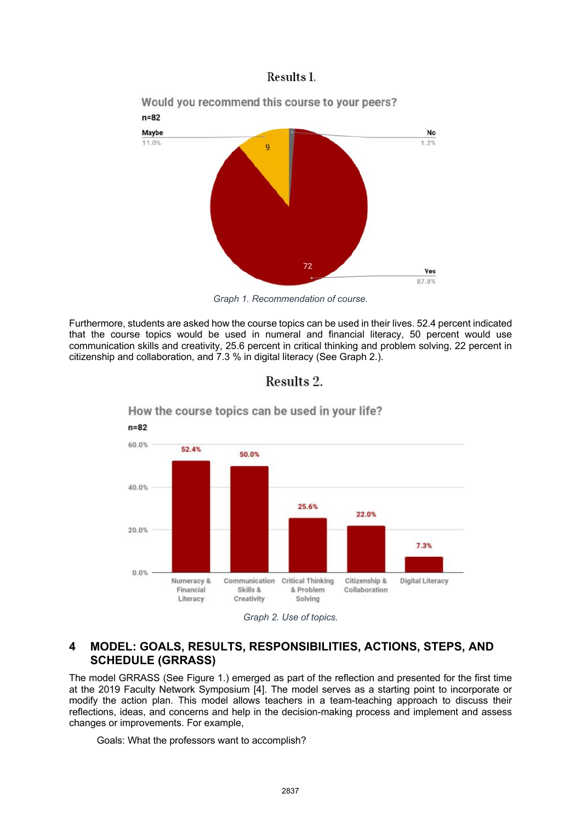### Results 1.



*Graph 1. Recommendation of course.*

Furthermore, students are asked how the course topics can be used in their lives. 52.4 percent indicated that the course topics would be used in numeral and financial literacy, 50 percent would use communication skills and creativity, 25.6 percent in critical thinking and problem solving, 22 percent in citizenship and collaboration, and 7.3 % in digital literacy (See Graph 2.).





How the course topics can be used in your life?

## **4 MODEL: GOALS, RESULTS, RESPONSIBILITIES, ACTIONS, STEPS, AND SCHEDULE (GRRASS)**

The model GRRASS (See Figure 1.) emerged as part of the reflection and presented for the first time at the 2019 Faculty Network Symposium [4]. The model serves as a starting point to incorporate or modify the action plan. This model allows teachers in a team-teaching approach to discuss their reflections, ideas, and concerns and help in the decision-making process and implement and assess changes or improvements. For example,

Goals: What the professors want to accomplish?

*Graph 2. Use of topics.*